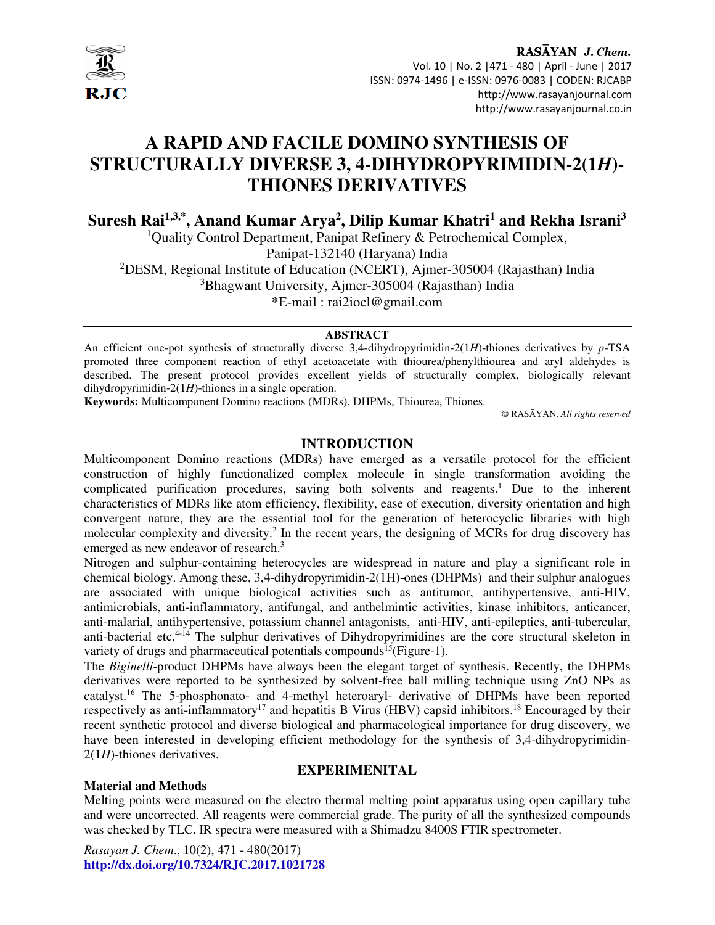

# **A RAPID AND FACILE DOMINO SYNTHESIS OF STRUCTURALLY DIVERSE 3, 4-DIHYDROPYRIMIDIN-2(1***H***)- THIONES DERIVATIVES**

**Suresh Rai1,3,\*, Anand Kumar Arya<sup>2</sup> , Dilip Kumar Khatri<sup>1</sup> and Rekha Israni<sup>3</sup>**

<sup>1</sup>Quality Control Department, Panipat Refinery  $\&$  Petrochemical Complex,

Panipat-132140 (Haryana) India

<sup>2</sup>DESM, Regional Institute of Education (NCERT), Ajmer-305004 (Rajasthan) India

<sup>3</sup>Bhagwant University, Ajmer-305004 (Rajasthan) India

\*E-mail : rai2iocl@gmail.com

#### **ABSTRACT**

An efficient one-pot synthesis of structurally diverse 3,4-dihydropyrimidin-2(1*H*)-thiones derivatives by *p*-TSA promoted three component reaction of ethyl acetoacetate with thiourea/phenylthiourea and aryl aldehydes is described. The present protocol provides excellent yields of structurally complex, biologically relevant dihydropyrimidin-2(1*H*)-thiones in a single operation.

**Keywords:** Multicomponent Domino reactions (MDRs), DHPMs, Thiourea, Thiones.

© RASĀYAN. *All rights reserved*

# **INTRODUCTION**

Multicomponent Domino reactions (MDRs) have emerged as a versatile protocol for the efficient construction of highly functionalized complex molecule in single transformation avoiding the complicated purification procedures, saving both solvents and reagents.<sup>1</sup> Due to the inherent characteristics of MDRs like atom efficiency, flexibility, ease of execution, diversity orientation and high convergent nature, they are the essential tool for the generation of heterocyclic libraries with high molecular complexity and diversity.<sup>2</sup> In the recent years, the designing of MCRs for drug discovery has emerged as new endeavor of research.<sup>3</sup>

Nitrogen and sulphur-containing heterocycles are widespread in nature and play a significant role in chemical biology. Among these, 3,4-dihydropyrimidin-2(1H)-ones (DHPMs) and their sulphur analogues are associated with unique biological activities such as antitumor, antihypertensive, anti-HIV, antimicrobials, anti-inflammatory, antifungal, and anthelmintic activities, kinase inhibitors, anticancer, anti-malarial, antihypertensive, potassium channel antagonists, anti-HIV, anti-epileptics, anti-tubercular, anti-bacterial etc.4-14 The sulphur derivatives of Dihydropyrimidines are the core structural skeleton in variety of drugs and pharmaceutical potentials compounds<sup>15</sup>(Figure-1).

The *Biginelli*-product DHPMs have always been the elegant target of synthesis. Recently, the DHPMs derivatives were reported to be synthesized by solvent-free ball milling technique using ZnO NPs as catalyst.<sup>16</sup> The 5-phosphonato- and 4-methyl heteroaryl- derivative of DHPMs have been reported respectively as anti-inflammatory<sup>17</sup> and hepatitis B Virus (HBV) capsid inhibitors.<sup>18</sup> Encouraged by their recent synthetic protocol and diverse biological and pharmacological importance for drug discovery, we have been interested in developing efficient methodology for the synthesis of 3,4-dihydropyrimidin-2(1*H*)-thiones derivatives.

# **Material and Methods**

# **EXPERIMENITAL**

Melting points were measured on the electro thermal melting point apparatus using open capillary tube and were uncorrected. All reagents were commercial grade. The purity of all the synthesized compounds was checked by TLC. IR spectra were measured with a Shimadzu 8400S FTIR spectrometer.

*Rasayan J. Chem*., 10(2), 471 - 480(2017) **http://dx.doi.org/10.7324/RJC.2017.1021728**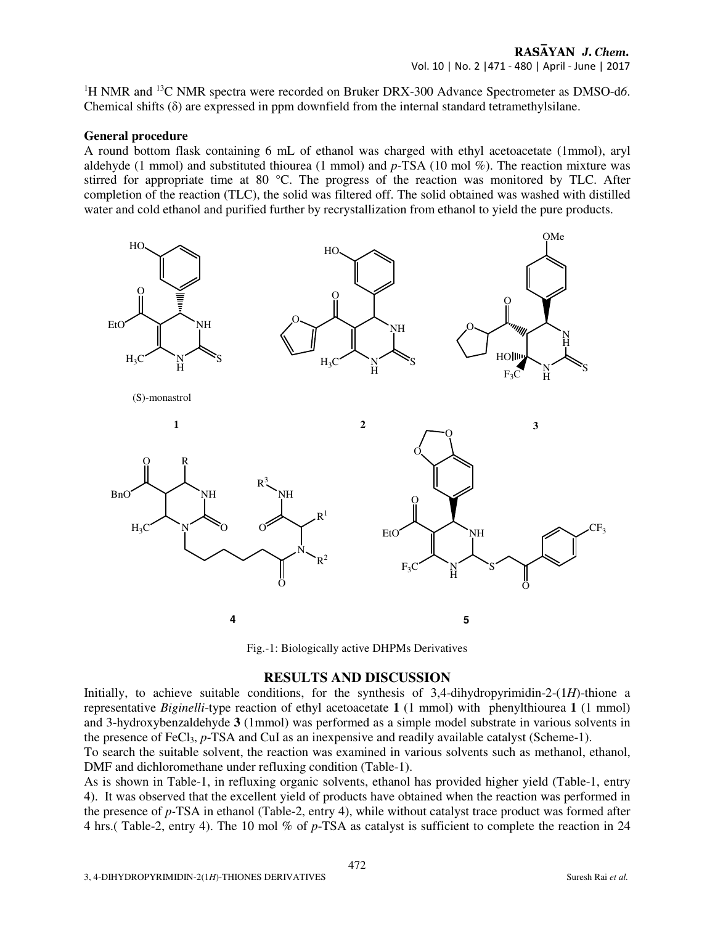# RASAYAN J. Chem. Vol. 10 | No. 2 |471 - 480 | April - June | 2017

<sup>1</sup>H NMR and <sup>13</sup>C NMR spectra were recorded on Bruker DRX-300 Advance Spectrometer as DMSO-d6. Chemical shifts  $(\delta)$  are expressed in ppm downfield from the internal standard tetramethylsilane.

#### **General procedure**

A round bottom flask containing 6 mL of ethanol was charged with ethyl acetoacetate (1mmol), aryl aldehyde (1 mmol) and substituted thiourea (1 mmol) and *p*-TSA (10 mol %). The reaction mixture was stirred for appropriate time at 80 °C. The progress of the reaction was monitored by TLC. After completion of the reaction (TLC), the solid was filtered off. The solid obtained was washed with distilled water and cold ethanol and purified further by recrystallization from ethanol to yield the pure products.



Fig.-1: Biologically active DHPMs Derivatives

# **RESULTS AND DISCUSSION**

Initially, to achieve suitable conditions, for the synthesis of 3,4-dihydropyrimidin-2-(1*H*)-thione a representative *Biginelli*-type reaction of ethyl acetoacetate **1** (1 mmol) with phenylthiourea **1** (1 mmol) and 3-hydroxybenzaldehyde **3** (1mmol) was performed as a simple model substrate in various solvents in the presence of FeCl3, *p*-TSA and CuI as an inexpensive and readily available catalyst (Scheme-1).

To search the suitable solvent, the reaction was examined in various solvents such as methanol, ethanol, DMF and dichloromethane under refluxing condition (Table-1).

As is shown in Table-1, in refluxing organic solvents, ethanol has provided higher yield (Table-1, entry 4). It was observed that the excellent yield of products have obtained when the reaction was performed in the presence of *p-*TSA in ethanol (Table-2, entry 4), while without catalyst trace product was formed after 4 hrs.( Table-2, entry 4). The 10 mol % of *p*-TSA as catalyst is sufficient to complete the reaction in 24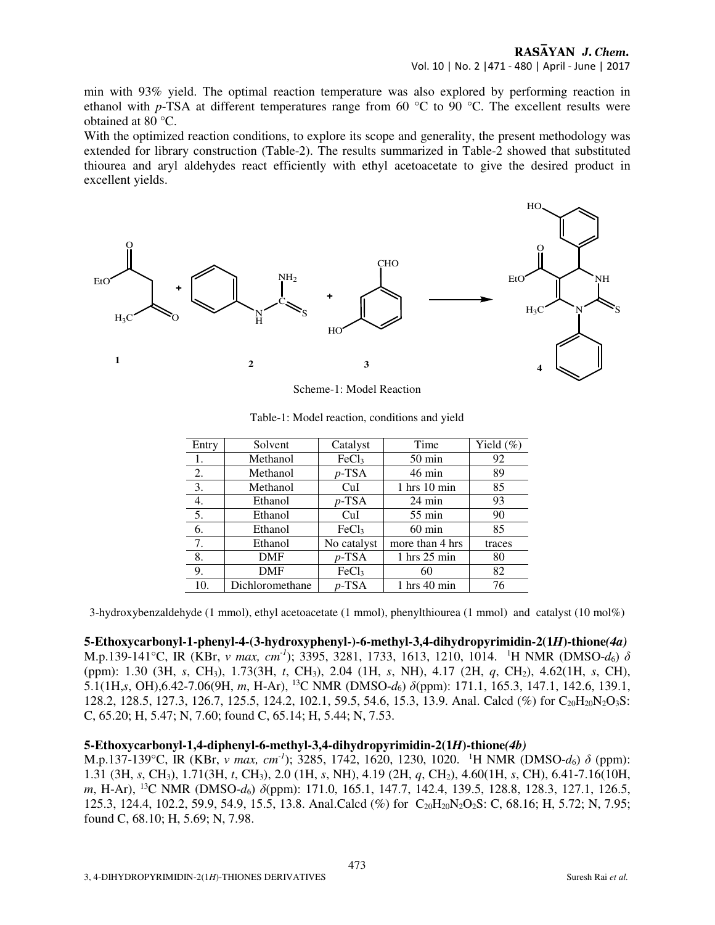min with 93% yield. The optimal reaction temperature was also explored by performing reaction in ethanol with *p*-TSA at different temperatures range from 60 °C to 90 °C. The excellent results were obtained at 80 °C.

With the optimized reaction conditions, to explore its scope and generality, the present methodology was extended for library construction (Table-2). The results summarized in Table-2 showed that substituted thiourea and aryl aldehydes react efficiently with ethyl acetoacetate to give the desired product in excellent yields.



Scheme-1: Model Reaction

| Entry | Solvent         | Catalyst          | Time                            | Yield $(\%)$ |
|-------|-----------------|-------------------|---------------------------------|--------------|
| 1.    | Methanol        | FeCl <sub>3</sub> | $50 \text{ min}$                | 92           |
| 2.    | Methanol        | $p$ -TSA          | $46 \text{ min}$                | 89           |
| 3.    | Methanol        | CuI               | $1$ hrs $10$ min                | 85           |
| 4.    | Ethanol         | $p$ -TSA          | $24 \text{ min}$                | 93           |
| 5.    | Ethanol         | CuI               | $55 \text{ min}$                | 90           |
| 6.    | Ethanol         | FeCl <sub>3</sub> | $60 \text{ min}$                | 85           |
| 7.    | Ethanol         | No catalyst       | more than 4 hrs                 | traces       |
| 8.    | <b>DMF</b>      | $p$ -TSA          | $1$ hrs $25$ min                | 80           |
| 9.    | <b>DMF</b>      | FeCl <sub>3</sub> | 60                              | 82           |
| 10.   | Dichloromethane | $p$ -TSA          | $1 \text{ hrs } 40 \text{ min}$ | 76           |

| Table-1: Model reaction, conditions and yield |  |  |
|-----------------------------------------------|--|--|
|                                               |  |  |

3-hydroxybenzaldehyde (1 mmol), ethyl acetoacetate (1 mmol), phenylthiourea (1 mmol) and catalyst (10 mol%)

#### **5-Ethoxycarbonyl-1-phenyl-4-(3-hydroxyphenyl-)-6-methyl-3,4-dihydropyrimidin-2(1***H***)-thione***(4a)*

M.p.139-141°C, IR (KBr, *ν max, cm-1*); 3395, 3281, 1733, 1613, 1210, 1014. <sup>1</sup>H NMR (DMSO-*d*6) *δ* (ppm): 1.30 (3H, *s*, CH3), 1.73(3H, *t*, CH3), 2.04 (1H, *s*, NH), 4.17 (2H, *q*, CH2), 4.62(1H, *s*, CH), 5.1(1H,*s*, OH),6.42-7.06(9H, *m*, H-Ar), <sup>13</sup>C NMR (DMSO-*d*6) *δ*(ppm): 171.1, 165.3, 147.1, 142.6, 139.1, 128.2, 128.5, 127.3, 126.7, 125.5, 124.2, 102.1, 59.5, 54.6, 15.3, 13.9. Anal. Calcd (%) for C<sub>20</sub>H<sub>20</sub>N<sub>2</sub>O<sub>3</sub>S: C, 65.20; H, 5.47; N, 7.60; found C, 65.14; H, 5.44; N, 7.53.

# **5-Ethoxycarbonyl-1,4-diphenyl-6-methyl-3,4-dihydropyrimidin-2(1***H***)-thione***(4b)*

M.p.137-139°C, IR (KBr, *ν max, cm-1*); 3285, 1742, 1620, 1230, 1020. <sup>1</sup>H NMR (DMSO-*d*6) *δ* (ppm): 1.31 (3H, *s*, CH3), 1.71(3H, *t*, CH3), 2.0 (1H, *s*, NH), 4.19 (2H, *q*, CH2), 4.60(1H, *s*, CH), 6.41-7.16(10H, *m*, H-Ar), <sup>13</sup>C NMR (DMSO-*d*6) *δ*(ppm): 171.0, 165.1, 147.7, 142.4, 139.5, 128.8, 128.3, 127.1, 126.5, 125.3, 124.4, 102.2, 59.9, 54.9, 15.5, 13.8. Anal.Calcd (%) for C<sub>20</sub>H<sub>20</sub>N<sub>2</sub>O<sub>2</sub>S: C, 68.16; H, 5.72; N, 7.95; found C, 68.10; H, 5.69; N, 7.98.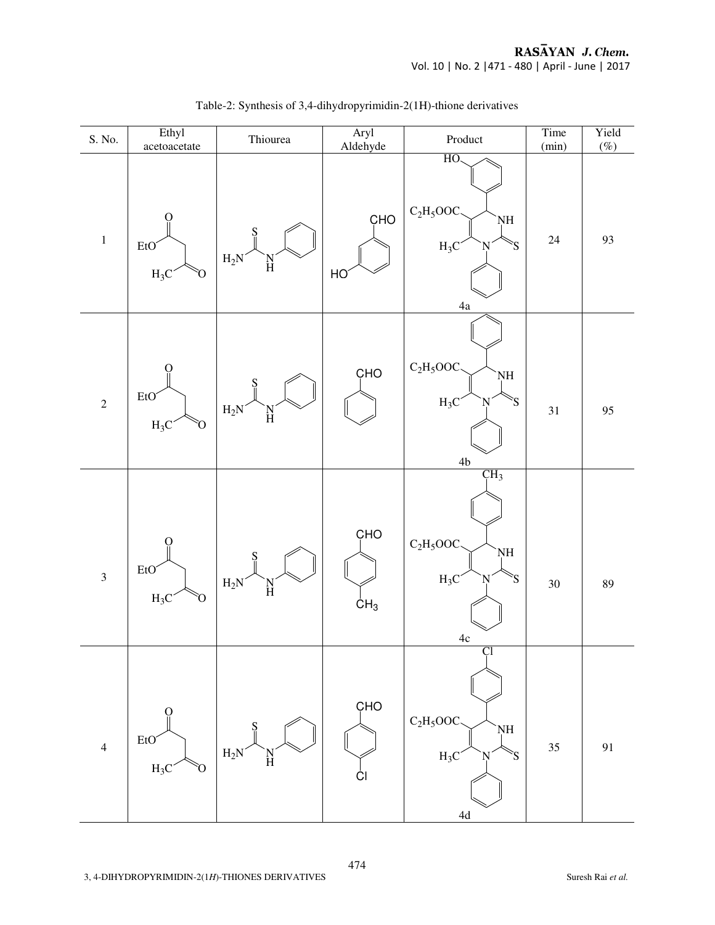

Table-2: Synthesis of 3,4-dihydropyrimidin-2(1H)-thione derivatives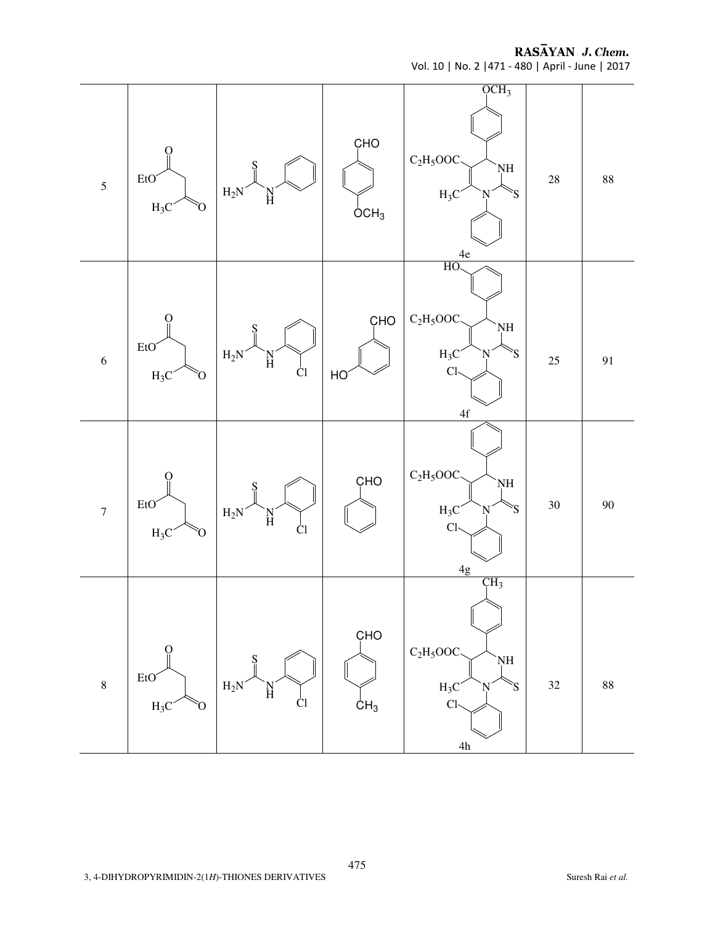RASĀYAN J. Chem.

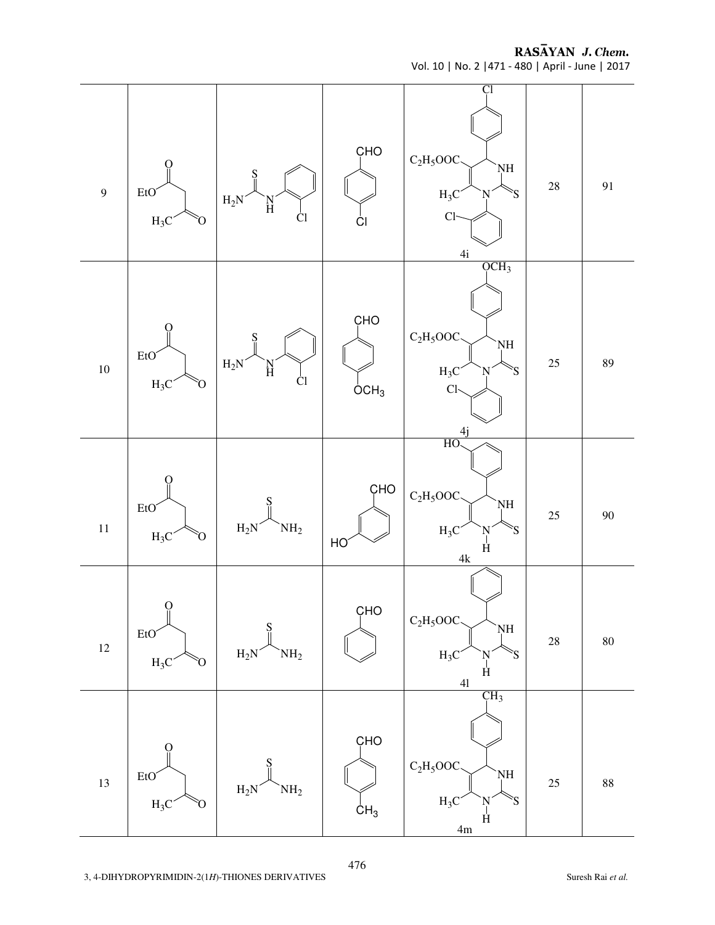RASAYAN J. Chem. Vol. 10 | No. 2 |471 - 480 | April - June | 2017

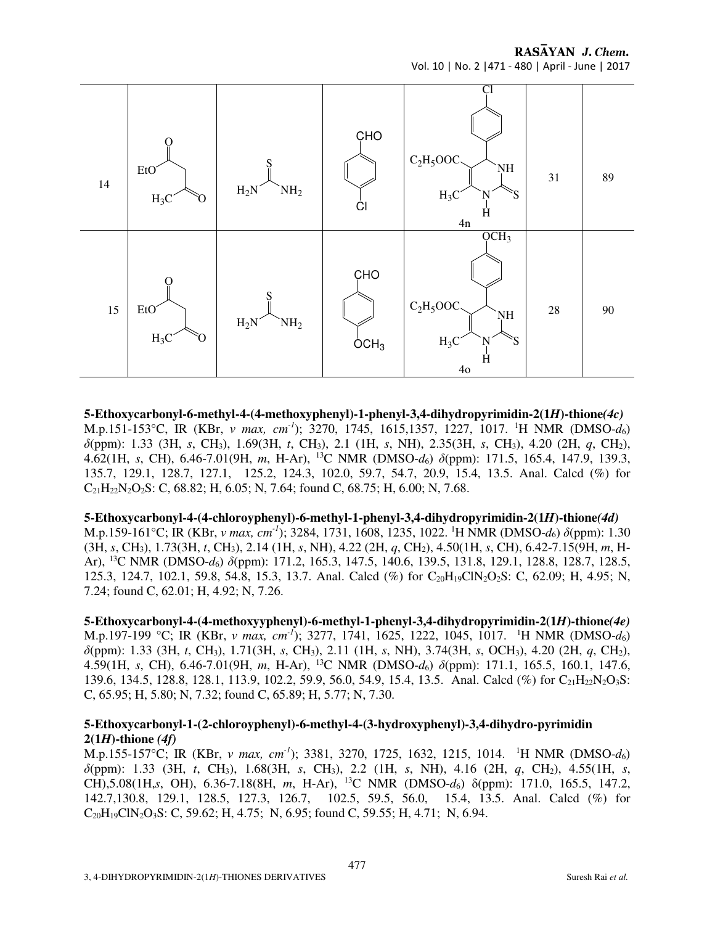RASAYAN J. Chem. Vol. 10 | No. 2 |471 - 480 | April - June | 2017



**5-Ethoxycarbonyl-6-methyl-4-(4-methoxyphenyl)-1-phenyl-3,4-dihydropyrimidin-2(1***H***)-thione***(4c)*  M.p.151-153°C, IR (KBr, *ν max, cm-1*); 3270, 1745, 1615,1357, 1227, 1017. <sup>1</sup>H NMR (DMSO-*d*6) *δ*(ppm): 1.33 (3H, *s*, CH3), 1.69(3H, *t*, CH3), 2.1 (1H, *s*, NH), 2.35(3H, *s*, CH3), 4.20 (2H, *q*, CH2), 4.62(1H, *s*, CH), 6.46-7.01(9H, *m*, H-Ar), <sup>13</sup>C NMR (DMSO-*d*6) *δ*(ppm): 171.5, 165.4, 147.9, 139.3, 135.7, 129.1, 128.7, 127.1, 125.2, 124.3, 102.0, 59.7, 54.7, 20.9, 15.4, 13.5. Anal. Calcd (%) for  $C_{21}H_{22}N_{2}O_{2}S$ : C, 68.82; H, 6.05; N, 7.64; found C, 68.75; H, 6.00; N, 7.68.

#### **5-Ethoxycarbonyl-4-(4-chloroyphenyl)-6-methyl-1-phenyl-3,4-dihydropyrimidin-2(1***H***)-thione***(4d)*

M.p.159-161°C; IR (KBr, *ν max, cm-1*); 3284, 1731, 1608, 1235, 1022. <sup>1</sup>H NMR (DMSO-*d*6) *δ*(ppm): 1.30 (3H, *s*, CH3), 1.73(3H, *t*, CH3), 2.14 (1H, *s*, NH), 4.22 (2H, *q*, CH2), 4.50(1H, *s*, CH), 6.42-7.15(9H, *m*, H-Ar), <sup>13</sup>C NMR (DMSO-*d*6) *δ*(ppm): 171.2, 165.3, 147.5, 140.6, 139.5, 131.8, 129.1, 128.8, 128.7, 128.5, 125.3, 124.7, 102.1, 59.8, 54.8, 15.3, 13.7. Anal. Calcd (%) for C20H19ClN2O2S: C, 62.09; H, 4.95; N, 7.24; found C, 62.01; H, 4.92; N, 7.26.

**5-Ethoxycarbonyl-4-(4-methoxyyphenyl)-6-methyl-1-phenyl-3,4-dihydropyrimidin-2(1***H***)-thione***(4e)*  M.p.197-199 °C; IR (KBr, *ν max, cm-1*); 3277, 1741, 1625, 1222, 1045, 1017. <sup>1</sup>H NMR (DMSO-*d*6) *δ*(ppm): 1.33 (3H, *t*, CH3), 1.71(3H, *s*, CH3), 2.11 (1H, *s*, NH), 3.74(3H, *s*, OCH3), 4.20 (2H, *q*, CH2), 4.59(1H, *s*, CH), 6.46-7.01(9H, *m*, H-Ar), <sup>13</sup>C NMR (DMSO-*d*6) *δ*(ppm): 171.1, 165.5, 160.1, 147.6, 139.6, 134.5, 128.8, 128.1, 113.9, 102.2, 59.9, 56.0, 54.9, 15.4, 13.5. Anal. Calcd (%) for  $C_{21}H_{22}N_2O_3S$ : C, 65.95; H, 5.80; N, 7.32; found C, 65.89; H, 5.77; N, 7.30.

#### **5-Ethoxycarbonyl-1-(2-chloroyphenyl)-6-methyl-4-(3-hydroxyphenyl)-3,4-dihydro-pyrimidin 2(1***H***)-thione** *(4f)*

M.p.155-157°C; IR (KBr, *ν max, cm-1*); 3381, 3270, 1725, 1632, 1215, 1014. <sup>1</sup>H NMR (DMSO-*d*6) *δ*(ppm): 1.33 (3H, *t*, CH3), 1.68(3H, *s*, CH3), 2.2 (1H, *s*, NH), 4.16 (2H, *q*, CH2), 4.55(1H, *s*, CH),5.08(1H,*s*, OH), 6.36-7.18(8H, *m*, H-Ar), <sup>13</sup>C NMR (DMSO-*d*6) δ(ppm): 171.0, 165.5, 147.2, 142.7,130.8, 129.1, 128.5, 127.3, 126.7, 102.5, 59.5, 56.0, 15.4, 13.5. Anal. Calcd (%) for  $C_{20}H_{19}CN_2O_3S$ : C, 59.62; H, 4.75; N, 6.95; found C, 59.55; H, 4.71; N, 6.94.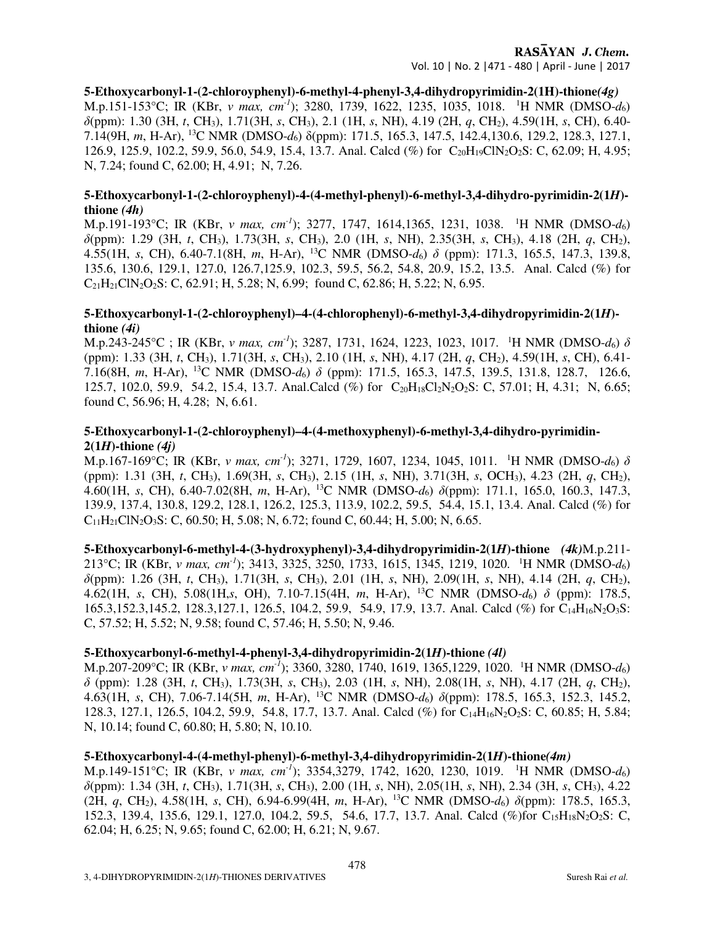# RASAYAN J. Chem.

Vol. 10 | No. 2 |471 - 480 | April - June | 2017

**5-Ethoxycarbonyl-1-(2-chloroyphenyl)-6-methyl-4-phenyl-3,4-dihydropyrimidin-2(1H)-thione***(4g)*  M.p.151-153°C; IR (KBr, *ν max, cm-1*); 3280, 1739, 1622, 1235, 1035, 1018. <sup>1</sup>H NMR (DMSO-*d*6) *δ*(ppm): 1.30 (3H, *t*, CH3), 1.71(3H, *s*, CH3), 2.1 (1H, *s*, NH), 4.19 (2H, *q*, CH2), 4.59(1H, *s*, CH), 6.40- 7.14(9H, *m*, H-Ar), <sup>13</sup>C NMR (DMSO-*d*6) δ(ppm): 171.5, 165.3, 147.5, 142.4,130.6, 129.2, 128.3, 127.1, 126.9, 125.9, 102.2, 59.9, 56.0, 54.9, 15.4, 13.7. Anal. Calcd (%) for C<sub>20</sub>H<sub>19</sub>ClN<sub>2</sub>O<sub>2</sub>S: C, 62.09; H, 4.95; N, 7.24; found C, 62.00; H, 4.91; N, 7.26.

# **5-Ethoxycarbonyl-1-(2-chloroyphenyl)-4-(4-methyl-phenyl)-6-methyl-3,4-dihydro-pyrimidin-2(1***H***) thione** *(4h)*

M.p.191-193°C; IR (KBr, *ν max, cm-1*); 3277, 1747, 1614,1365, 1231, 1038. <sup>1</sup>H NMR (DMSO-*d*6) *δ*(ppm): 1.29 (3H, *t*, CH3), 1.73(3H, *s*, CH3), 2.0 (1H, *s*, NH), 2.35(3H, *s*, CH3), 4.18 (2H, *q*, CH2), 4.55(1H, *s*, CH), 6.40-7.1(8H, *m*, H-Ar), <sup>13</sup>C NMR (DMSO-*d*6) *δ* (ppm): 171.3, 165.5, 147.3, 139.8, 135.6, 130.6, 129.1, 127.0, 126.7,125.9, 102.3, 59.5, 56.2, 54.8, 20.9, 15.2, 13.5. Anal. Calcd (%) for  $C_{21}H_{21}CIN_2O_2S$ : C, 62.91; H, 5.28; N, 6.99; found C, 62.86; H, 5.22; N, 6.95.

## **5-Ethoxycarbonyl-1-(2-chloroyphenyl)–4-(4-chlorophenyl)-6-methyl-3,4-dihydropyrimidin-2(1***H***) thione** *(4i)*

M.p.243-245°C ; IR (KBr, *ν max, cm-1*); 3287, 1731, 1624, 1223, 1023, 1017. <sup>1</sup>H NMR (DMSO-*d*6) *δ* (ppm): 1.33 (3H, *t*, CH3), 1.71(3H, *s*, CH3), 2.10 (1H, *s*, NH), 4.17 (2H, *q*, CH2), 4.59(1H, *s*, CH), 6.41- 7.16(8H, *m*, H-Ar), <sup>13</sup>C NMR (DMSO-*d*6) *δ* (ppm): 171.5, 165.3, 147.5, 139.5, 131.8, 128.7, 126.6, 125.7, 102.0, 59.9, 54.2, 15.4, 13.7. Anal.Calcd (%) for C<sub>20</sub>H<sub>18</sub>Cl<sub>2</sub>N<sub>2</sub>O<sub>2</sub>S: C, 57.01; H, 4.31; N, 6.65; found C, 56.96; H, 4.28; N, 6.61.

# **5-Ethoxycarbonyl-1-(2-chloroyphenyl)–4-(4-methoxyphenyl)-6-methyl-3,4-dihydro-pyrimidin-** $2(1H)$ -thione  $(4i)$

M.p.167-169°C; IR (KBr, *ν max, cm-1*); 3271, 1729, 1607, 1234, 1045, 1011. <sup>1</sup>H NMR (DMSO-*d*6) *δ* (ppm): 1.31 (3H, *t*, CH3), 1.69(3H, *s*, CH3), 2.15 (1H, *s*, NH), 3.71(3H, *s*, OCH3), 4.23 (2H, *q*, CH2), 4.60(1H, *s*, CH), 6.40-7.02(8H, *m*, H-Ar), <sup>13</sup>C NMR (DMSO-*d*6) *δ*(ppm): 171.1, 165.0, 160.3, 147.3, 139.9, 137.4, 130.8, 129.2, 128.1, 126.2, 125.3, 113.9, 102.2, 59.5, 54.4, 15.1, 13.4. Anal. Calcd (%) for  $C_{11}H_{21}CIN_2O_3S$ : C, 60.50; H, 5.08; N, 6.72; found C, 60.44; H, 5.00; N, 6.65.

**5-Ethoxycarbonyl-6-methyl-4-(3-hydroxyphenyl)-3,4-dihydropyrimidin-2(1***H***)-thione** *(4k)*M.p.211- 213°C; IR (KBr, *ν max, cm-1*); 3413, 3325, 3250, 1733, 1615, 1345, 1219, 1020. <sup>1</sup>H NMR (DMSO-*d*6) *δ*(ppm): 1.26 (3H, *t*, CH3), 1.71(3H, *s*, CH3), 2.01 (1H, *s*, NH), 2.09(1H, *s*, NH), 4.14 (2H, *q*, CH2), 4.62(1H, *s*, CH), 5.08(1H,*s*, OH), 7.10-7.15(4H, *m*, H-Ar), <sup>13</sup>C NMR (DMSO-*d*6) *δ* (ppm): 178.5, 165.3,152.3,145.2, 128.3,127.1, 126.5, 104.2, 59.9, 54.9, 17.9, 13.7. Anal. Calcd (%) for C<sub>14</sub>H<sub>16</sub>N<sub>2</sub>O<sub>3</sub>S: C, 57.52; H, 5.52; N, 9.58; found C, 57.46; H, 5.50; N, 9.46.

# **5-Ethoxycarbonyl-6-methyl-4-phenyl-3,4-dihydropyrimidin-2(1***H***)-thione** *(4l)*

M.p.207-209°C; IR (KBr, *ν max, cm-1*); 3360, 3280, 1740, 1619, 1365,1229, 1020. <sup>1</sup>H NMR (DMSO-*d*6) *δ* (ppm): 1.28 (3H, *t*, CH3), 1.73(3H, *s*, CH3), 2.03 (1H, *s*, NH), 2.08(1H, *s*, NH), 4.17 (2H, *q*, CH2), 4.63(1H, *s*, CH), 7.06-7.14(5H, *m*, H-Ar), <sup>13</sup>C NMR (DMSO-*d*6) *δ*(ppm): 178.5, 165.3, 152.3, 145.2, 128.3, 127.1, 126.5, 104.2, 59.9, 54.8, 17.7, 13.7. Anal. Calcd (%) for C<sub>14</sub>H<sub>16</sub>N<sub>2</sub>O<sub>2</sub>S: C, 60.85; H, 5.84; N, 10.14; found C, 60.80; H, 5.80; N, 10.10.

# **5-Ethoxycarbonyl-4-(4-methyl-phenyl)-6-methyl-3,4-dihydropyrimidin-2(1***H***)-thione***(4m)*

M.p.149-151°C; IR (KBr, *ν max, cm-1*); 3354,3279, 1742, 1620, 1230, 1019. <sup>1</sup>H NMR (DMSO-*d*6) *δ*(ppm): 1.34 (3H, *t*, CH3), 1.71(3H, *s*, CH3), 2.00 (1H, *s*, NH), 2.05(1H, *s*, NH), 2.34 (3H, *s*, CH3), 4.22 (2H, *q*, CH2), 4.58(1H, *s*, CH), 6.94-6.99(4H, *m*, H-Ar), <sup>13</sup>C NMR (DMSO-*d*6) *δ*(ppm): 178.5, 165.3, 152.3, 139.4, 135.6, 129.1, 127.0, 104.2, 59.5, 54.6, 17.7, 13.7. Anal. Calcd (%)for C<sub>15</sub>H<sub>18</sub>N<sub>2</sub>O<sub>2</sub>S: C, 62.04; H, 6.25; N, 9.65; found C, 62.00; H, 6.21; N, 9.67.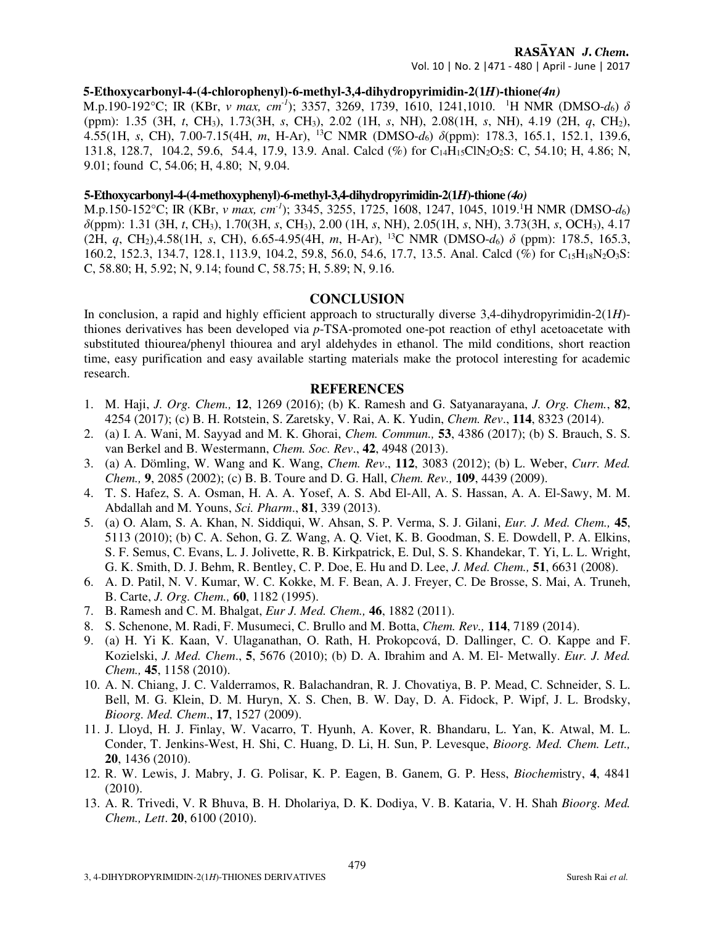# RASAYAN J. Chem.

Vol. 10 | No. 2 |471 - 480 | April - June | 2017

## **5-Ethoxycarbonyl-4-(4-chlorophenyl)-6-methyl-3,4-dihydropyrimidin-2(1***H***)-thione***(4n)*

M.p.190-192°C; IR (KBr, *ν max, cm-1*); 3357, 3269, 1739, 1610, 1241,1010. <sup>1</sup>H NMR (DMSO-*d*6) *δ* (ppm): 1.35 (3H, *t*, CH3), 1.73(3H, *s*, CH3), 2.02 (1H, *s*, NH), 2.08(1H, *s*, NH), 4.19 (2H, *q*, CH2), 4.55(1H, *s*, CH), 7.00-7.15(4H, *m*, H-Ar), <sup>13</sup>C NMR (DMSO-*d*6) *δ*(ppm): 178.3, 165.1, 152.1, 139.6, 131.8, 128.7, 104.2, 59.6, 54.4, 17.9, 13.9. Anal. Calcd (%) for C14H15ClN2O2S: C, 54.10; H, 4.86; N, 9.01; found C, 54.06; H, 4.80; N, 9.04.

#### **5-Ethoxycarbonyl-4-(4-methoxyphenyl)-6-methyl-3,4-dihydropyrimidin-2(1***H***)-thione** *(4o)*

M.p.150-152°C; IR (KBr, *ν max, cm-1*); 3345, 3255, 1725, 1608, 1247, 1045, 1019.<sup>1</sup>H NMR (DMSO-*d*6) *δ*(ppm): 1.31 (3H, *t*, CH3), 1.70(3H, *s*, CH3), 2.00 (1H, *s*, NH), 2.05(1H, *s*, NH), 3.73(3H, *s*, OCH3), 4.17 (2H, *q*, CH2),4.58(1H, *s*, CH), 6.65-4.95(4H, *m*, H-Ar), <sup>13</sup>C NMR (DMSO-*d*6) *δ* (ppm): 178.5, 165.3, 160.2, 152.3, 134.7, 128.1, 113.9, 104.2, 59.8, 56.0, 54.6, 17.7, 13.5. Anal. Calcd (%) for C<sub>15</sub>H<sub>18</sub>N<sub>2</sub>O<sub>3</sub>S: C, 58.80; H, 5.92; N, 9.14; found C, 58.75; H, 5.89; N, 9.16.

#### **CONCLUSION**

In conclusion, a rapid and highly efficient approach to structurally diverse 3,4-dihydropyrimidin-2(1*H*) thiones derivatives has been developed via *p*-TSA-promoted one-pot reaction of ethyl acetoacetate with substituted thiourea/phenyl thiourea and aryl aldehydes in ethanol. The mild conditions, short reaction time, easy purification and easy available starting materials make the protocol interesting for academic research.

#### **REFERENCES**

- 1. M. Haji, *J. Org. Chem.,* **12**, 1269 (2016); (b) K. Ramesh and G. Satyanarayana, *J. Org. Chem.*, **82**, 4254 (2017); (c) B. H. Rotstein, S. Zaretsky, V. Rai, A. K. Yudin, *Chem. Rev*., **114**, 8323 (2014).
- 2. (a) I. A. Wani, M. Sayyad and M. K. Ghorai, *Chem. Commun.,* **53**, 4386 (2017); (b) S. Brauch, S. S. van Berkel and B. Westermann, *Chem. Soc. Rev*., **42**, 4948 (2013).
- 3. (a) A. Dömling, W. Wang and K. Wang, *Chem. Rev*., **112**, 3083 (2012); (b) L. Weber, *Curr. Med. Chem.,* **9**, 2085 (2002); (c) B. B. Toure and D. G. Hall, *Chem. Rev.,* **109**, 4439 (2009).
- 4. T. S. Hafez, S. A. Osman, H. A. A. Yosef, A. S. Abd El-All, A. S. Hassan, A. A. El-Sawy, M. M. Abdallah and M. Youns, *Sci. Pharm*., **81**, 339 (2013).
- 5. (a) O. Alam, S. A. Khan, N. Siddiqui, W. Ahsan, S. P. Verma, S. J. Gilani, *Eur. J. Med. Chem.,* **45**, 5113 (2010); (b) C. A. Sehon, G. Z. Wang, A. Q. Viet, K. B. Goodman, S. E. Dowdell, P. A. Elkins, S. F. Semus, C. Evans, L. J. Jolivette, R. B. Kirkpatrick, E. Dul, S. S. Khandekar, T. Yi, L. L. Wright, G. K. Smith, D. J. Behm, R. Bentley, C. P. Doe, E. Hu and D. Lee, *J. Med. Chem.,* **51**, 6631 (2008).
- 6. A. D. Patil, N. V. Kumar, W. C. Kokke, M. F. Bean, A. J. Freyer, C. De Brosse, S. Mai, A. Truneh, B. Carte, *J. Org. Chem.,* **60**, 1182 (1995).
- 7. B. Ramesh and C. M. Bhalgat, *Eur J. Med. Chem.,* **46**, 1882 (2011).
- 8. S. Schenone, M. Radi, F. Musumeci, C. Brullo and M. Botta, *Chem. Rev.,* **114**, 7189 (2014).
- 9. (a) H. Yi K. Kaan, V. Ulaganathan, O. Rath, H. Prokopcová, D. Dallinger, C. O. Kappe and F. Kozielski, *J. Med. Chem*., **5**, 5676 (2010); (b) D. A. Ibrahim and A. M. El- Metwally. *Eur. J. Med. Chem.,* **45**, 1158 (2010).
- 10. A. N. Chiang, J. C. Valderramos, R. Balachandran, R. J. Chovatiya, B. P. Mead, C. Schneider, S. L. Bell, M. G. Klein, D. M. Huryn, X. S. Chen, B. W. Day, D. A. Fidock, P. Wipf, J. L. Brodsky, *Bioorg. Med. Chem*., **17**, 1527 (2009).
- 11. J. Lloyd, H. J. Finlay, W. Vacarro, T. Hyunh, A. Kover, R. Bhandaru, L. Yan, K. Atwal, M. L. Conder, T. Jenkins-West, H. Shi, C. Huang, D. Li, H. Sun, P. Levesque, *Bioorg. Med. Chem. Lett.,*  **20**, 1436 (2010).
- 12. R. W. Lewis, J. Mabry, J. G. Polisar, K. P. Eagen, B. Ganem, G. P. Hess, *Biochem*istry, **4**, 4841 (2010).
- 13. A. R. Trivedi, V. R Bhuva, B. H. Dholariya, D. K. Dodiya, V. B. Kataria, V. H. Shah *Bioorg. Med. Chem., Lett*. **20**, 6100 (2010).